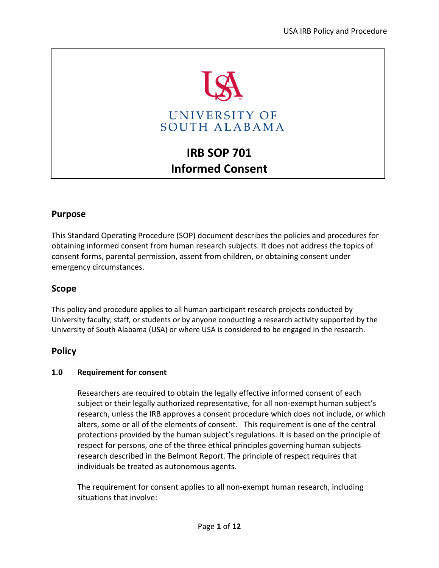

# **IRB SOP 701 Informed Consent**

# **Purpose**

This Standard Operating Procedure (SOP) document describes the policies and procedures for obtaining informed consent from human research subjects. It does not address the topics of consent forms, parental permission, assent from children, or obtaining consent under emergency circumstances.

# **Scope**

This policy and procedure applies to all human participant research projects conducted by University faculty, staff, or students or by anyone conducting a research activity supported by the University of South Alabama (USA) or where USA is considered to be engaged in the research.

# **Policy**

## **1.0 Requirement for consent**

Researchers are required to obtain the legally effective informed consent of each subject or their legally authorized representative, for all non-exempt human subject's research, unless the IRB approves a consent procedure which does not include, or which alters, some or all of the elements of consent. This requirement is one of the central protections provided by the human subject's regulations. It is based on the principle of respect for persons, one of the three ethical principles governing human subjects research described in the Belmont Report. The principle of respect requires that individuals be treated as autonomous agents.

The requirement for consent applies to all non-exempt human research, including situations that involve: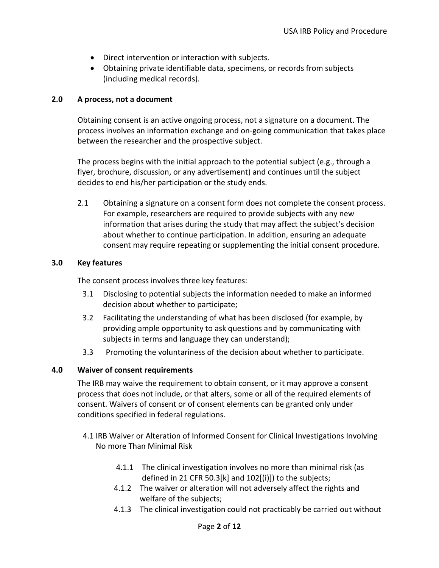- Direct intervention or interaction with subjects.
- Obtaining private identifiable data, specimens, or records from subjects (including medical records).

#### **2.0 A process, not a document**

Obtaining consent is an active ongoing process, not a signature on a document. The process involves an information exchange and on-going communication that takes place between the researcher and the prospective subject.

The process begins with the initial approach to the potential subject (e.g., through a flyer, brochure, discussion, or any advertisement) and continues until the subject decides to end his/her participation or the study ends.

2.1 Obtaining a signature on a consent form does not complete the consent process. For example, researchers are required to provide subjects with any new information that arises during the study that may affect the subject's decision about whether to continue participation. In addition, ensuring an adequate consent may require repeating or supplementing the initial consent procedure.

#### **3.0 Key features**

The consent process involves three key features:

- 3.1 Disclosing to potential subjects the information needed to make an informed decision about whether to participate;
- 3.2 Facilitating the understanding of what has been disclosed (for example, by providing ample opportunity to ask questions and by communicating with subjects in terms and language they can understand);
- 3.3 Promoting the voluntariness of the decision about whether to participate.

## **4.0 Waiver of consent requirements**

The IRB may waive the requirement to obtain consent, or it may approve a consent process that does not include, or that alters, some or all of the required elements of consent. Waivers of consent or of consent elements can be granted only under conditions specified in federal regulations.

- 4.1 IRB Waiver or Alteration of Informed Consent for Clinical Investigations Involving No more Than Minimal Risk
	- 4.1.1 The clinical investigation involves no more than minimal risk (as defined in [21 CFR 50.3\[k\]](https://www.accessdata.fda.gov/scripts/cdrh/cfdocs/cfcfr/CFRSearch.cfm?fr=50.3) an[d 102\[\(i\)\]\)](https://www.accessdata.fda.gov/scripts/cdrh/cfdocs/cfcfr/CFRSearch.cfm?fr=56.102) to the subjects;
	- 4.1.2 The waiver or alteration will not adversely affect the rights and welfare of the subjects;
	- 4.1.3 The clinical investigation could not practicably be carried out without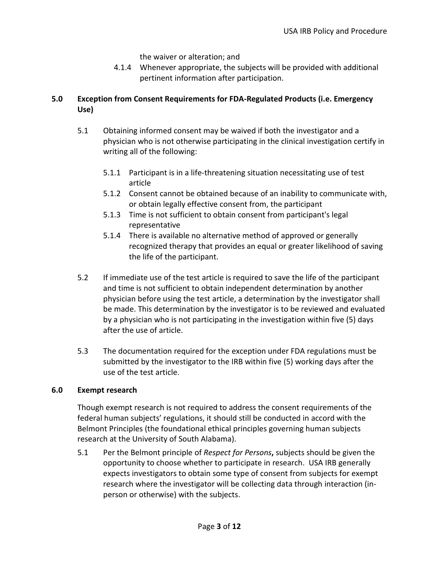the waiver or alteration; and

4.1.4 Whenever appropriate, the subjects will be provided with additional pertinent information after participation.

# **5.0 Exception from Consent Requirements for FDA-Regulated Products (i.e. Emergency Use)**

- 5.1 Obtaining informed consent may be waived if both the investigator and a physician who is not otherwise participating in the clinical investigation certify in writing all of the following:
	- 5.1.1 Participant is in a life-threatening situation necessitating use of test article
	- 5.1.2 Consent cannot be obtained because of an inability to communicate with, or obtain legally effective consent from, the participant
	- 5.1.3 Time is not sufficient to obtain consent from participant's legal representative
	- 5.1.4 There is available no alternative method of approved or generally recognized therapy that provides an equal or greater likelihood of saving the life of the participant.
- 5.2 If immediate use of the test article is required to save the life of the participant and time is not sufficient to obtain independent determination by another physician before using the test article, a determination by the investigator shall be made. This determination by the investigator is to be reviewed and evaluated by a physician who is not participating in the investigation within five (5) days after the use of article.
- 5.3 The documentation required for the exception under FDA regulations must be submitted by the investigator to the IRB within five (5) working days after the use of the test article.

# **6.0 Exempt research**

Though exempt research is not required to address the consent requirements of the federal human subjects' regulations, it should still be conducted in accord with the Belmont Principles (the foundational ethical principles governing human subjects research at the University of South Alabama).

5.1 Per the Belmont principle of *Respect for Persons***,** subjects should be given the opportunity to choose whether to participate in research. USA IRB generally expects investigators to obtain some type of consent from subjects for exempt research where the investigator will be collecting data through interaction (inperson or otherwise) with the subjects.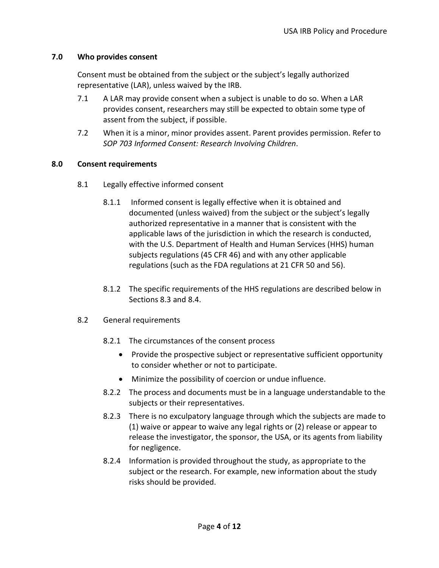#### **7.0 Who provides consent**

Consent must be obtained from the subject or the subject's legally authorized representative (LAR), unless waived by the IRB.

- 7.1 A LAR may provide consent when a subject is unable to do so. When a LAR provides consent, researchers may still be expected to obtain some type of assent from the subject, if possible.
- 7.2 When it is a minor, minor provides assent. Parent provides permission. Refer to *SOP 703 Informed Consent: Research Involving Children*.

#### **8.0 Consent requirements**

- 8.1 Legally effective informed consent
	- 8.1.1 Informed consent is legally effective when it is obtained and documented (unless waived) from the subject or the subject's legally authorized representative in a manner that is consistent with the applicable laws of the jurisdiction in which the research is conducted, with the U.S. Department of Health and Human Services (HHS) human subjects regulations (45 CFR 46) and with any other applicable regulations (such as the FDA regulations at 21 CFR 50 and 56).
	- 8.1.2 The specific requirements of the HHS regulations are described below in Sections 8.3 and 8.4.

#### 8.2 General requirements

- 8.2.1 The circumstances of the consent process
	- Provide the prospective subject or representative sufficient opportunity to consider whether or not to participate.
	- Minimize the possibility of coercion or undue influence.
- 8.2.2 The process and documents must be in a language understandable to the subjects or their representatives.
- 8.2.3 There is no exculpatory language through which the subjects are made to (1) waive or appear to waive any legal rights or (2) release or appear to release the investigator, the sponsor, the USA, or its agents from liability for negligence.
- 8.2.4 Information is provided throughout the study, as appropriate to the subject or the research. For example, new information about the study risks should be provided.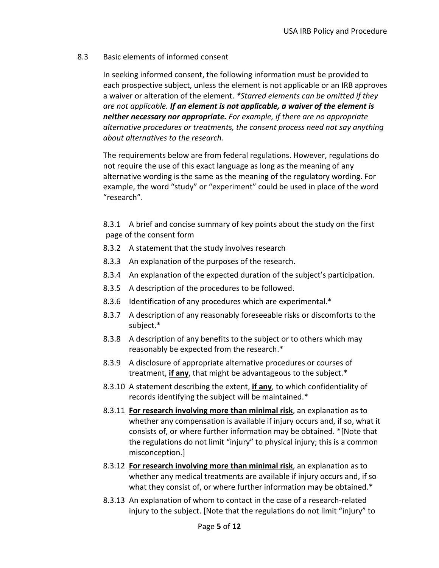#### 8.3 Basic elements of informed consent

In seeking informed consent, the following information must be provided to each prospective subject, unless the element is not applicable or an IRB approves a waiver or alteration of the element. *\*Starred elements can be omitted if they are not applicable. If an element is not applicable, a waiver of the element is neither necessary nor appropriate. For example, if there are no appropriate alternative procedures or treatments, the consent process need not say anything about alternatives to the research.* 

The requirements below are from federal regulations. However, regulations do not require the use of this exact language as long as the meaning of any alternative wording is the same as the meaning of the regulatory wording. For example, the word "study" or "experiment" could be used in place of the word "research".

8.3.1 A brief and concise summary of key points about the study on the first page of the consent form

- 8.3.2 A statement that the study involves research
- 8.3.3 An explanation of the purposes of the research.
- 8.3.4 An explanation of the expected duration of the subject's participation.
- 8.3.5 A description of the procedures to be followed.
- 8.3.6 Identification of any procedures which are experimental.\*
- 8.3.7 A description of any reasonably foreseeable risks or discomforts to the subject.\*
- 8.3.8 A description of any benefits to the subject or to others which may reasonably be expected from the research.\*
- 8.3.9 A disclosure of appropriate alternative procedures or courses of treatment, **if any**, that might be advantageous to the subject.\*
- 8.3.10 A statement describing the extent, **if any**, to which confidentiality of records identifying the subject will be maintained.\*
- 8.3.11 **For research involving more than minimal risk**, an explanation as to whether any compensation is available if injury occurs and, if so, what it consists of, or where further information may be obtained. \*[Note that the regulations do not limit "injury" to physical injury; this is a common misconception.]
- 8.3.12 **For research involving more than minimal risk**, an explanation as to whether any medical treatments are available if injury occurs and, if so what they consist of, or where further information may be obtained.\*
- 8.3.13 An explanation of whom to contact in the case of a research-related injury to the subject. [Note that the regulations do not limit "injury" to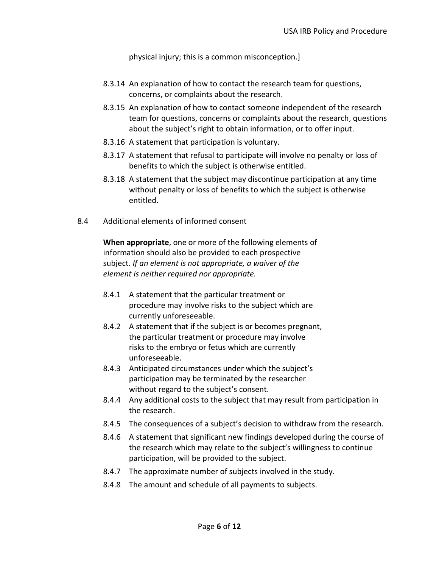physical injury; this is a common misconception.]

- 8.3.14 An explanation of how to contact the research team for questions, concerns, or complaints about the research.
- 8.3.15 An explanation of how to contact someone independent of the research team for questions, concerns or complaints about the research, questions about the subject's right to obtain information, or to offer input.
- 8.3.16 A statement that participation is voluntary.
- 8.3.17 A statement that refusal to participate will involve no penalty or loss of benefits to which the subject is otherwise entitled.
- 8.3.18 A statement that the subject may discontinue participation at any time without penalty or loss of benefits to which the subject is otherwise entitled.
- 8.4 Additional elements of informed consent

**When appropriate**, one or more of the following elements of information should also be provided to each prospective subject. *If an element is not appropriate, a waiver of the element is neither required nor appropriate.* 

- 8.4.1 A statement that the particular treatment or procedure may involve risks to the subject which are currently unforeseeable.
- 8.4.2 A statement that if the subject is or becomes pregnant, the particular treatment or procedure may involve risks to the embryo or fetus which are currently unforeseeable.
- 8.4.3 Anticipated circumstances under which the subject's participation may be terminated by the researcher without regard to the subject's consent.
- 8.4.4 Any additional costs to the subject that may result from participation in the research.
- 8.4.5 The consequences of a subject's decision to withdraw from the research.
- 8.4.6 A statement that significant new findings developed during the course of the research which may relate to the subject's willingness to continue participation, will be provided to the subject.
- 8.4.7 The approximate number of subjects involved in the study.
- 8.4.8 The amount and schedule of all payments to subjects.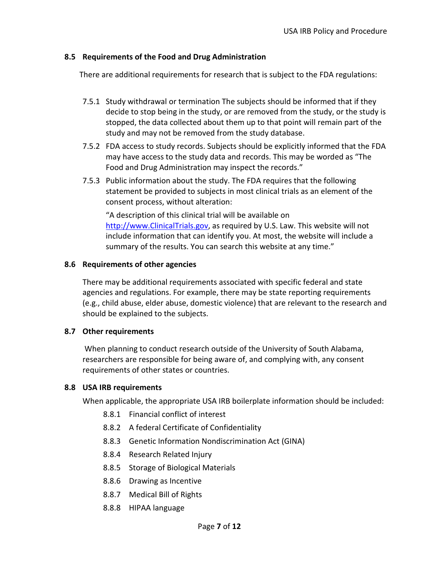## **8.5 Requirements of the Food and Drug Administration**

There are additional requirements for research that is subject to the FDA regulations:

- 7.5.1 Study withdrawal or termination The subjects should be informed that if they decide to stop being in the study, or are removed from the study, or the study is stopped, the data collected about them up to that point will remain part of the study and may not be removed from the study database.
- 7.5.2 FDA access to study records. Subjects should be explicitly informed that the FDA may have access to the study data and records. This may be worded as "The Food and Drug Administration may inspect the records."
- 7.5.3 Public information about the study. The FDA requires that the following statement be provided to subjects in most clinical trials as an element of the consent process, without alteration:

"A description of this clinical trial will be available on [http://www.ClinicalTrials.gov,](http://www.clinicaltrials.gov/) as required by U.S. Law. This website will not include information that can identify you. At most, the website will include a summary of the results. You can search this website at any time."

## **8.6 Requirements of other agencies**

There may be additional requirements associated with specific federal and state agencies and regulations. For example, there may be state reporting requirements (e.g., child abuse, elder abuse, domestic violence) that are relevant to the research and should be explained to the subjects.

## **8.7 Other requirements**

When planning to conduct research outside of the University of South Alabama, researchers are responsible for being aware of, and complying with, any consent requirements of other states or countries.

## **8.8 USA IRB requirements**

When applicable, the appropriate USA IRB boilerplate information should be included:

- 8.8.1 Financial conflict of interest
- 8.8.2 A federal Certificate of Confidentiality
- 8.8.3 Genetic Information Nondiscrimination Act (GINA)
- 8.8.4 Research Related Injury
- 8.8.5 Storage of Biological Materials
- 8.8.6 Drawing as Incentive
- 8.8.7 Medical Bill of Rights
- 8.8.8 HIPAA language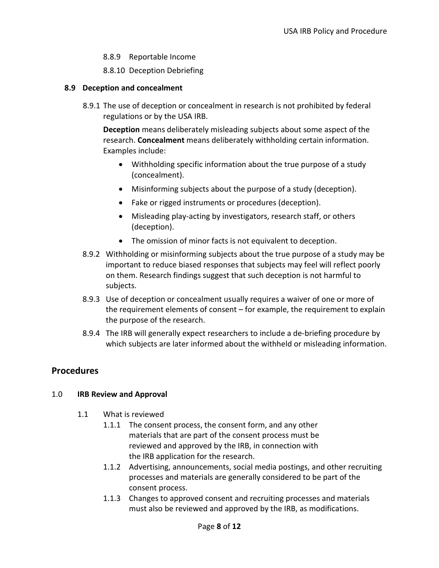- 8.8.9 Reportable Income
- 8.8.10 Deception Debriefing

#### **8.9 Deception and concealment**

8.9.1 The use of deception or concealment in research is not prohibited by federal regulations or by the USA IRB.

**Deception** means deliberately misleading subjects about some aspect of the research. **Concealment** means deliberately withholding certain information. Examples include:

- Withholding specific information about the true purpose of a study (concealment).
- Misinforming subjects about the purpose of a study (deception).
- Fake or rigged instruments or procedures (deception).
- Misleading play-acting by investigators, research staff, or others (deception).
- The omission of minor facts is not equivalent to deception.
- 8.9.2 Withholding or misinforming subjects about the true purpose of a study may be important to reduce biased responses that subjects may feel will reflect poorly on them. Research findings suggest that such deception is not harmful to subjects.
- 8.9.3 Use of deception or concealment usually requires a waiver of one or more of the requirement elements of consent – for example, the requirement to explain the purpose of the research.
- 8.9.4 The IRB will generally expect researchers to include a de-briefing procedure by which subjects are later informed about the withheld or misleading information.

# **Procedures**

#### 1.0 **IRB Review and Approval**

- 1.1 What is reviewed
	- 1.1.1 The consent process, the consent form, and any other materials that are part of the consent process must be reviewed and approved by the IRB, in connection with the IRB application for the research.
	- 1.1.2 Advertising, announcements, social media postings, and other recruiting processes and materials are generally considered to be part of the consent process.
	- 1.1.3 Changes to approved consent and recruiting processes and materials must also be reviewed and approved by the IRB, as modifications.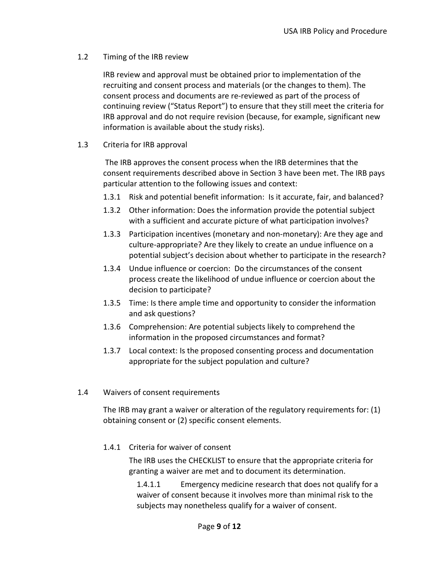#### 1.2 Timing of the IRB review

IRB review and approval must be obtained prior to implementation of the recruiting and consent process and materials (or the changes to them). The consent process and documents are re-reviewed as part of the process of continuing review ("Status Report") to ensure that they still meet the criteria for IRB approval and do not require revision (because, for example, significant new information is available about the study risks).

#### 1.3 Criteria for IRB approval

The IRB approves the consent process when the IRB determines that the consent requirements described above in Section 3 have been met. The IRB pays particular attention to the following issues and context:

- 1.3.1 Risk and potential benefit information: Is it accurate, fair, and balanced?
- 1.3.2 Other information: Does the information provide the potential subject with a sufficient and accurate picture of what participation involves?
- 1.3.3 Participation incentives (monetary and non-monetary): Are they age and culture-appropriate? Are they likely to create an undue influence on a potential subject's decision about whether to participate in the research?
- 1.3.4 Undue influence or coercion: Do the circumstances of the consent process create the likelihood of undue influence or coercion about the decision to participate?
- 1.3.5 Time: Is there ample time and opportunity to consider the information and ask questions?
- 1.3.6 Comprehension: Are potential subjects likely to comprehend the information in the proposed circumstances and format?
- 1.3.7 Local context: Is the proposed consenting process and documentation appropriate for the subject population and culture?

## 1.4 Waivers of consent requirements

The IRB may grant a waiver or alteration of the regulatory requirements for: (1) obtaining consent or (2) specific consent elements.

#### 1.4.1 Criteria for waiver of consent

The IRB uses the CHECKLIST to ensure that the appropriate criteria for granting a waiver are met and to document its determination.

1.4.1.1 Emergency medicine research that does not qualify for a waiver of consent because it involves more than minimal risk to the subjects may nonetheless qualify for a waiver of consent.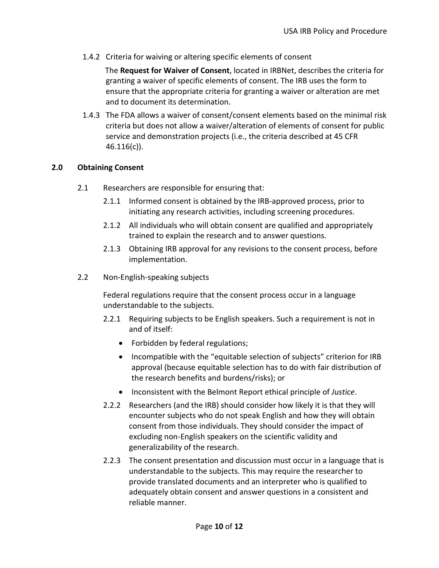1.4.2 Criteria for waiving or altering specific elements of consent

The **Request for Waiver of Consent**, located in IRBNet, describes the criteria for granting a waiver of specific elements of consent. The IRB uses the form to ensure that the appropriate criteria for granting a waiver or alteration are met and to document its determination.

1.4.3 The FDA allows a waiver of consent/consent elements based on the minimal risk criteria but does not allow a waiver/alteration of elements of consent for public service and demonstration projects (i.e., the criteria described at 45 CFR 46.116(c)).

#### **2.0 Obtaining Consent**

- 2.1 Researchers are responsible for ensuring that:
	- 2.1.1 Informed consent is obtained by the IRB-approved process, prior to initiating any research activities, including screening procedures.
	- 2.1.2 All individuals who will obtain consent are qualified and appropriately trained to explain the research and to answer questions.
	- 2.1.3 Obtaining IRB approval for any revisions to the consent process, before implementation.
- 2.2 Non-English-speaking subjects

Federal regulations require that the consent process occur in a language understandable to the subjects.

- 2.2.1 Requiring subjects to be English speakers. Such a requirement is not in and of itself:
	- Forbidden by federal regulations;
	- Incompatible with the "equitable selection of subjects" criterion for IRB approval (because equitable selection has to do with fair distribution of the research benefits and burdens/risks); or
	- Inconsistent with the Belmont Report ethical principle of *Justice*.
- 2.2.2 Researchers (and the IRB) should consider how likely it is that they will encounter subjects who do not speak English and how they will obtain consent from those individuals. They should consider the impact of excluding non-English speakers on the scientific validity and generalizability of the research.
- 2.2.3 The consent presentation and discussion must occur in a language that is understandable to the subjects. This may require the researcher to provide translated documents and an interpreter who is qualified to adequately obtain consent and answer questions in a consistent and reliable manner.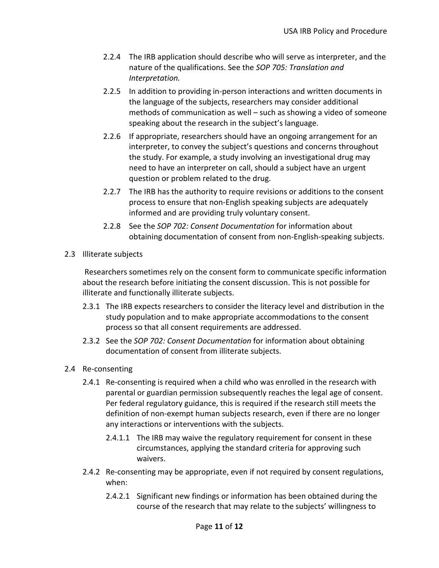- 2.2.4 The IRB application should describe who will serve as interpreter, and the nature of the qualifications. See the *SOP 705: Translation and Interpretation.*
- 2.2.5 In addition to providing in-person interactions and written documents in the language of the subjects, researchers may consider additional methods of communication as well – such as showing a video of someone speaking about the research in the subject's language.
- 2.2.6 If appropriate, researchers should have an ongoing arrangement for an interpreter, to convey the subject's questions and concerns throughout the study. For example, a study involving an investigational drug may need to have an interpreter on call, should a subject have an urgent question or problem related to the drug.
- 2.2.7 The IRB has the authority to require revisions or additions to the consent process to ensure that non-English speaking subjects are adequately informed and are providing truly voluntary consent.
- 2.2.8 See the *SOP 702: Consent Documentation* for information about obtaining documentation of consent from non-English-speaking subjects.
- 2.3 Illiterate subjects

Researchers sometimes rely on the consent form to communicate specific information about the research before initiating the consent discussion. This is not possible for illiterate and functionally illiterate subjects.

- 2.3.1 The IRB expects researchers to consider the literacy level and distribution in the study population and to make appropriate accommodations to the consent process so that all consent requirements are addressed.
- 2.3.2 See the *SOP 702: Consent Documentation* for information about obtaining documentation of consent from illiterate subjects.
- 2.4 Re-consenting
	- 2.4.1 Re-consenting is required when a child who was enrolled in the research with parental or guardian permission subsequently reaches the legal age of consent. Per federal regulatory guidance, this is required if the research still meets the definition of non-exempt human subjects research, even if there are no longer any interactions or interventions with the subjects.
		- 2.4.1.1 The IRB may waive the regulatory requirement for consent in these circumstances, applying the standard criteria for approving such waivers.
	- 2.4.2 Re-consenting may be appropriate, even if not required by consent regulations, when:
		- 2.4.2.1 Significant new findings or information has been obtained during the course of the research that may relate to the subjects' willingness to